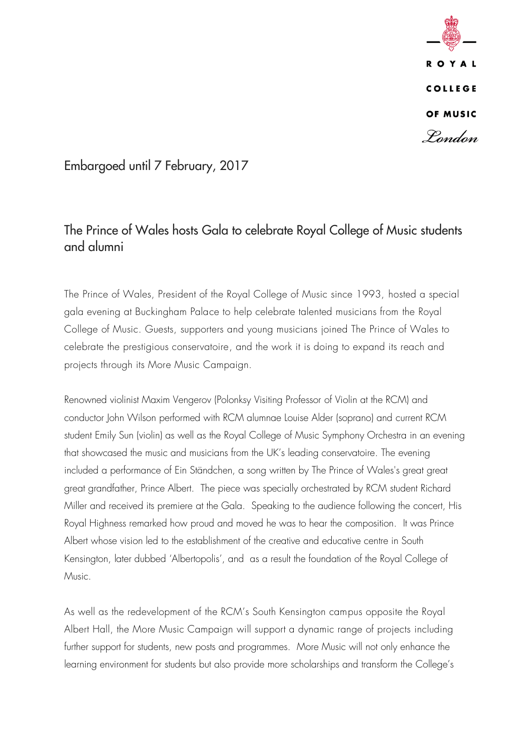**ROYAL COLLEGE** OF MUSIC Pondon

### Embargoed until 7 February, 2017

## The Prince of Wales hosts Gala to celebrate Royal College of Music students and alumni

The Prince of Wales, President of the Royal College of Music since 1993, hosted a special gala evening at Buckingham Palace to help celebrate talented musicians from the Royal College of Music. Guests, supporters and young musicians joined The Prince of Wales to celebrate the prestigious conservatoire, and the work it is doing to expand its reach and projects through its More Music Campaign.

Renowned violinist Maxim Vengerov (Polonksy Visiting Professor of Violin at the RCM) and conductor John Wilson performed with RCM alumnae Louise Alder (soprano) and current RCM student Emily Sun (violin) as well as the Royal College of Music Symphony Orchestra in an evening that showcased the music and musicians from the UK's leading conservatoire. The evening included a performance of Ein Ständchen, a song written by The Prince of Wales's great great great grandfather, Prince Albert. The piece was specially orchestrated by RCM student Richard Miller and received its premiere at the Gala. Speaking to the audience following the concert, His Royal Highness remarked how proud and moved he was to hear the composition. It was Prince Albert whose vision led to the establishment of the creative and educative centre in South Kensington, later dubbed 'Albertopolis', and as a result the foundation of the Royal College of Music.

As well as the redevelopment of the RCM's South Kensington campus opposite the Royal Albert Hall, the More Music Campaign will support a dynamic range of projects including further support for students, new posts and programmes. More Music will not only enhance the learning environment for students but also provide more scholarships and transform the College's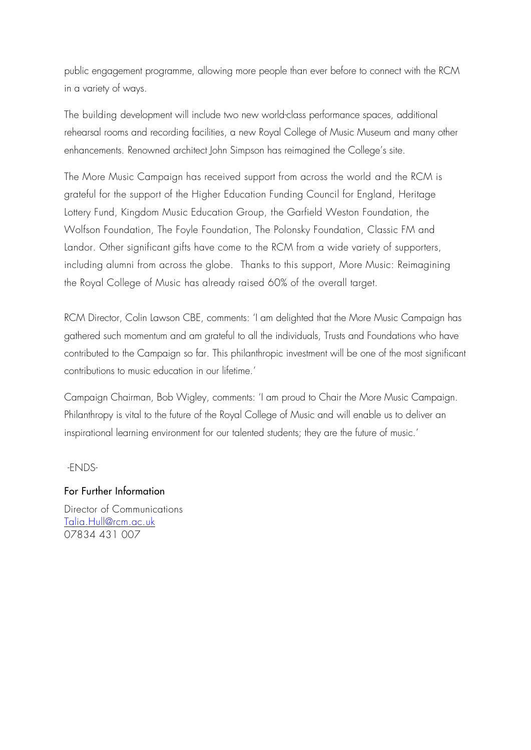public engagement programme, allowing more people than ever before to connect with the RCM in a variety of ways.

The building development will include two new world-class performance spaces, additional rehearsal rooms and recording facilities, a new Royal College of Music Museum and many other enhancements. Renowned architect John Simpson has reimagined the College's site.

The More Music Campaign has received support from across the world and the RCM is grateful for the support of the Higher Education Funding Council for England, Heritage Lottery Fund, Kingdom Music Education Group, the Garfield Weston Foundation, the Wolfson Foundation, The Foyle Foundation, The Polonsky Foundation, Classic FM and Landor. Other significant gifts have come to the RCM from a wide variety of supporters, including alumni from across the globe. Thanks to this support, More Music: Reimagining the Royal College of Music has already raised 60% of the overall target.

RCM Director, Colin Lawson CBE, comments: 'I am delighted that the More Music Campaign has gathered such momentum and am grateful to all the individuals, Trusts and Foundations who have contributed to the Campaign so far. This philanthropic investment will be one of the most significant contributions to music education in our lifetime.'

Campaign Chairman, Bob Wigley, comments: 'I am proud to Chair the More Music Campaign. Philanthropy is vital to the future of the Royal College of Music and will enable us to deliver an inspirational learning environment for our talented students; they are the future of music.'

-ENDS-

# For Further Information

Director of Communications [Talia.Hull@rcm.ac.uk](mailto:Talia.Hull@rcm.ac.uk) 07834 431 007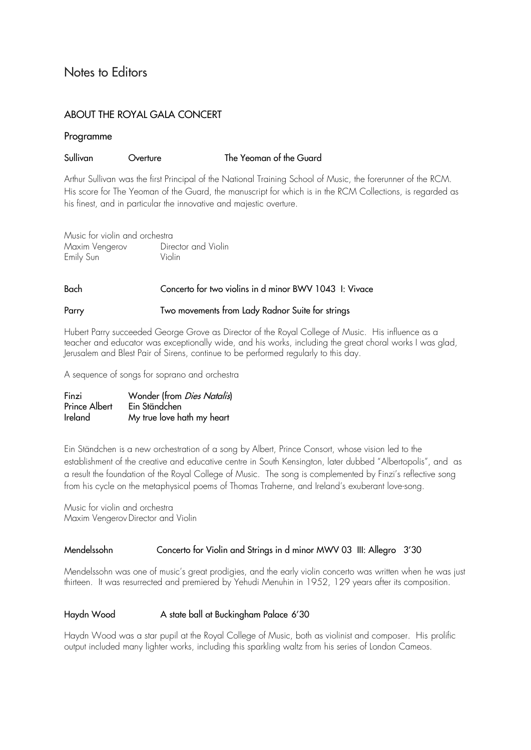### Notes to Editors

### ABOUT THE ROYAL GALA CONCERT

### Programme

### Sullivan Overture The Yeoman of the Guard

Arthur Sullivan was the first Principal of the National Training School of Music, the forerunner of the RCM. His score for The Yeoman of the Guard, the manuscript for which is in the RCM Collections, is regarded as his finest, and in particular the innovative and majestic overture.

Music for violin and orchestra Maxim Vengerov **Director and Violin** Emily Sun Violin

# Bach Concerto for two violins in d minor BWV 1043 I: Vivace

#### Parry **Two movements from Lady Radnor Suite for strings**

Hubert Parry succeeded George Grove as Director of the Royal College of Music. His influence as a teacher and educator was exceptionally wide, and his works, including the great choral works I was glad, Jerusalem and Blest Pair of Sirens, continue to be performed regularly to this day.

A sequence of songs for soprano and orchestra

| Finzi         | Wonder (from <i>Dies Natalis</i> ) |
|---------------|------------------------------------|
| Prince Albert | Ein Ständchen                      |
| Ireland       | My true love hath my heart         |

Ein Ständchen is a new orchestration of a song by Albert, Prince Consort, whose vision led to the establishment of the creative and educative centre in South Kensington, later dubbed "Albertopolis", and as a result the foundation of the Royal College of Music. The song is complemented by Finzi's reflective song from his cycle on the metaphysical poems of Thomas Traherne, and Ireland's exuberant love-song.

Music for violin and orchestra Maxim VengerovDirector and Violin

### Mendelssohn Concerto for Violin and Strings in d minor MWV 03 III: Allegro 3'30

Mendelssohn was one of music's great prodigies, and the early violin concerto was written when he was just thirteen. It was resurrected and premiered by Yehudi Menuhin in 1952, 129 years after its composition.

### Haydn Wood **A** state ball at Buckingham Palace 6'30

Haydn Wood was a star pupil at the Royal College of Music, both as violinist and composer. His prolific output included many lighter works, including this sparkling waltz from his series of London Cameos.